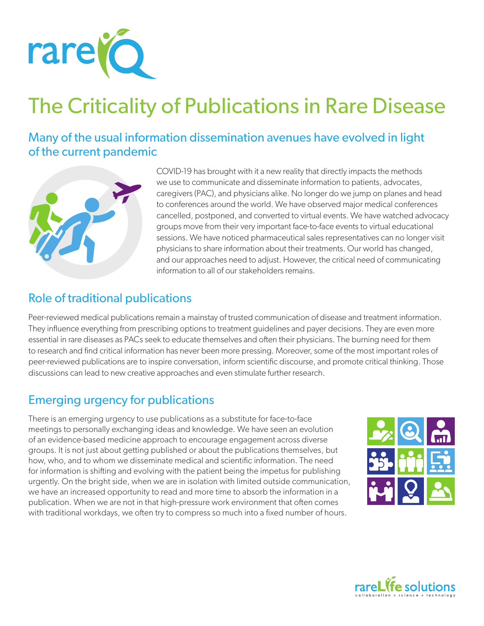

# The Criticality of Publications in Rare Disease

Many of the usual information dissemination avenues have evolved in light of the current pandemic



COVID-19 has brought with it a new reality that directly impacts the methods we use to communicate and disseminate information to patients, advocates, caregivers (PAC), and physicians alike. No longer do we jump on planes and head to conferences around the world. We have observed major medical conferences cancelled, postponed, and converted to virtual events. We have watched advocacy groups move from their very important face-to-face events to virtual educational sessions. We have noticed pharmaceutical sales representatives can no longer visit physicians to share information about their treatments. Our world has changed, and our approaches need to adjust. However, the critical need of communicating information to all of our stakeholders remains.

### Role of traditional publications

Peer-reviewed medical publications remain a mainstay of trusted communication of disease and treatment information. They influence everything from prescribing options to treatment guidelines and payer decisions. They are even more essential in rare diseases as PACs seek to educate themselves and often their physicians. The burning need for them to research and find critical information has never been more pressing. Moreover, some of the most important roles of peer-reviewed publications are to inspire conversation, inform scientific discourse, and promote critical thinking. Those discussions can lead to new creative approaches and even stimulate further research.

### Emerging urgency for publications

There is an emerging urgency to use publications as a substitute for face-to-face meetings to personally exchanging ideas and knowledge. We have seen an evolution of an evidence-based medicine approach to encourage engagement across diverse groups. It is not just about getting published or about the publications themselves, but how, who, and to whom we disseminate medical and scientific information. The need for information is shifting and evolving with the patient being the impetus for publishing urgently. On the bright side, when we are in isolation with limited outside communication, we have an increased opportunity to read and more time to absorb the information in a publication. When we are not in that high-pressure work environment that often comes with traditional workdays, we often try to compress so much into a fixed number of hours.